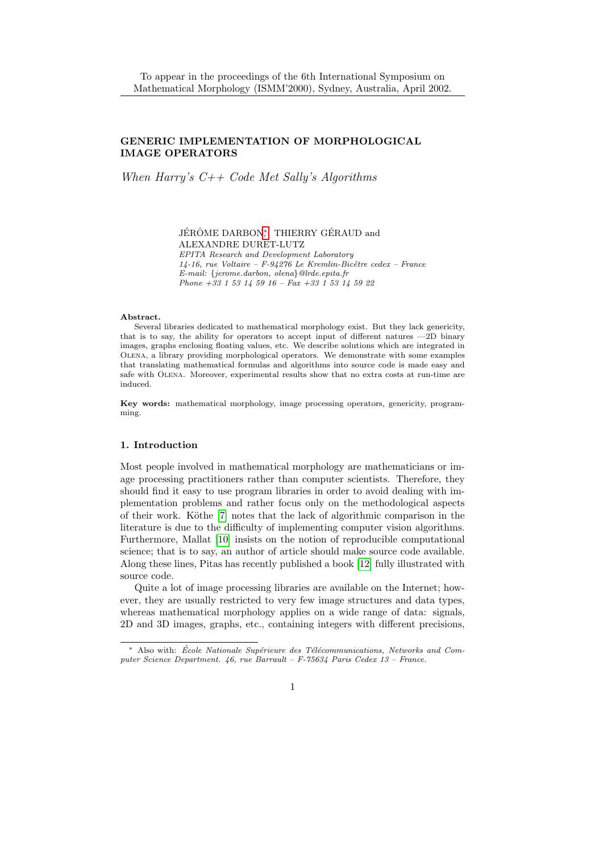# GENERIC IMPLEMENTATION OF MORPHOLOGICAL IMAGE OPERATORS

When Harry's  $C++$  Code Met Sally's Algorithms

JÉRÔME DARBON, THIERRY GÉRAUD and ALEXANDRE DURET-LUTZ EPITA Research and Development Laboratory 14-16, rue Voltaire – F-94276 Le Kremlin-Bicêtre cedex – France E-mail: {jerome.darbon, olena}@lrde.epita.fr Phone +33 1 53 14 59 16 – Fax +33 1 53 14 59 22

#### Abstract.

Several libraries dedicated to mathematical morphology exist. But they lack genericity, that is to say, the ability for operators to accept input of different natures —2D binary images, graphs enclosing floating values, etc. We describe solutions which are integrated in Olena, a library providing morphological operators. We demonstrate with some examples that translating mathematical formulas and algorithms into source code is made easy and safe with Olena. Moreover, experimental results show that no extra costs at run-time are induced.

Key words: mathematical morphology, image processing operators, genericity, programming.

#### 1. Introduction

Most people involved in mathematical morphology are mathematicians or image processing practitioners rather than computer scientists. Therefore, they should find it easy to use program libraries in order to avoid dealing with implementation problems and rather focus only on the methodological aspects of their work. K¨othe [\[7\]](#page-8-0) notes that the lack of algorithmic comparison in the literature is due to the difficulty of implementing computer vision algorithms. Furthermore, Mallat [\[10\]](#page-9-0) insists on the notion of reproducible computational science; that is to say, an author of article should make source code available. Along these lines, Pitas has recently published a book [\[12\]](#page-9-1) fully illustrated with source code.

Quite a lot of image processing libraries are available on the Internet; however, they are usually restricted to very few image structures and data types, whereas mathematical morphology applies on a wide range of data: signals, 2D and 3D images, graphs, etc., containing integers with different precisions,

<sup>\*</sup> Also with: École Nationale Supérieure des Télécommunications, Networks and Computer Science Department. 46, rue Barrault – F-75634 Paris Cedex 13 – France.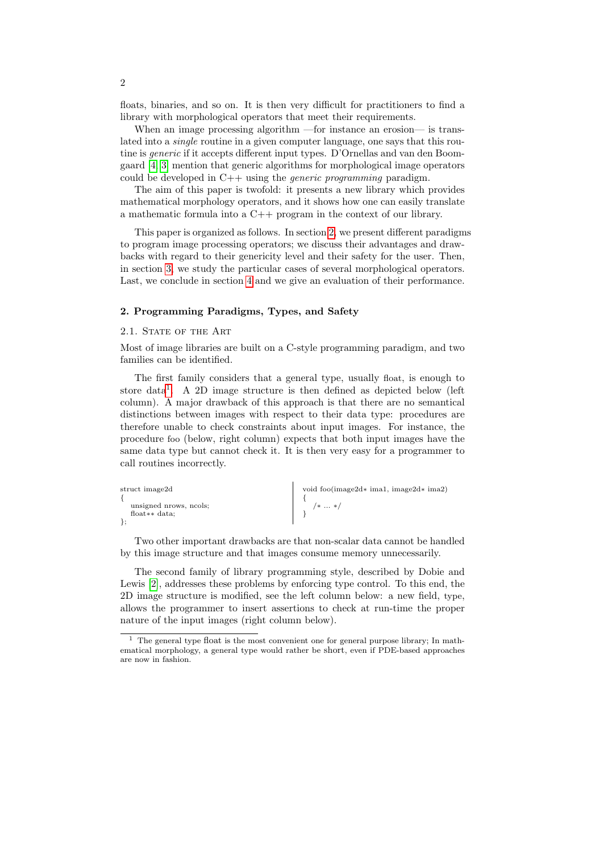floats, binaries, and so on. It is then very difficult for practitioners to find a library with morphological operators that meet their requirements.

When an image processing algorithm —for instance an erosion— is translated into a single routine in a given computer language, one says that this routine is generic if it accepts different input types. D'Ornellas and van den Boomgaard [\[4,](#page-8-1) [3\]](#page-8-2) mention that generic algorithms for morphological image operators could be developed in  $C++$  using the *generic programming* paradigm.

The aim of this paper is twofold: it presents a new library which provides mathematical morphology operators, and it shows how one can easily translate a mathematic formula into a C++ program in the context of our library.

This paper is organized as follows. In section [2,](#page-1-0) we present different paradigms to program image processing operators; we discuss their advantages and drawbacks with regard to their genericity level and their safety for the user. Then, in section [3,](#page-4-0) we study the particular cases of several morphological operators. Last, we conclude in section [4](#page-7-0) and we give an evaluation of their performance.

#### <span id="page-1-0"></span>2. Programming Paradigms, Types, and Safety

#### <span id="page-1-2"></span>2.1. STATE OF THE ART

Most of image libraries are built on a C-style programming paradigm, and two families can be identified.

The first family considers that a general type, usually float, is enough to store data[1](#page-1-1) . A 2D image structure is then defined as depicted below (left column). A major drawback of this approach is that there are no semantical distinctions between images with respect to their data type: procedures are therefore unable to check constraints about input images. For instance, the procedure foo (below, right column) expects that both input images have the same data type but cannot check it. It is then very easy for a programmer to call routines incorrectly.

| struct image2d         | void foo $(mage2d*ima1, image2d*ima2)$ |
|------------------------|----------------------------------------|
|                        |                                        |
| unsigned prows, nools; | $/* \dots *$ /                         |
| float $**$ data:       |                                        |
|                        |                                        |

Two other important drawbacks are that non-scalar data cannot be handled by this image structure and that images consume memory unnecessarily.

The second family of library programming style, described by Dobie and Lewis [\[2\]](#page-8-3), addresses these problems by enforcing type control. To this end, the 2D image structure is modified, see the left column below: a new field, type, allows the programmer to insert assertions to check at run-time the proper nature of the input images (right column below).

<span id="page-1-1"></span><sup>&</sup>lt;sup>1</sup> The general type float is the most convenient one for general purpose library; In mathematical morphology, a general type would rather be short, even if PDE-based approaches are now in fashion.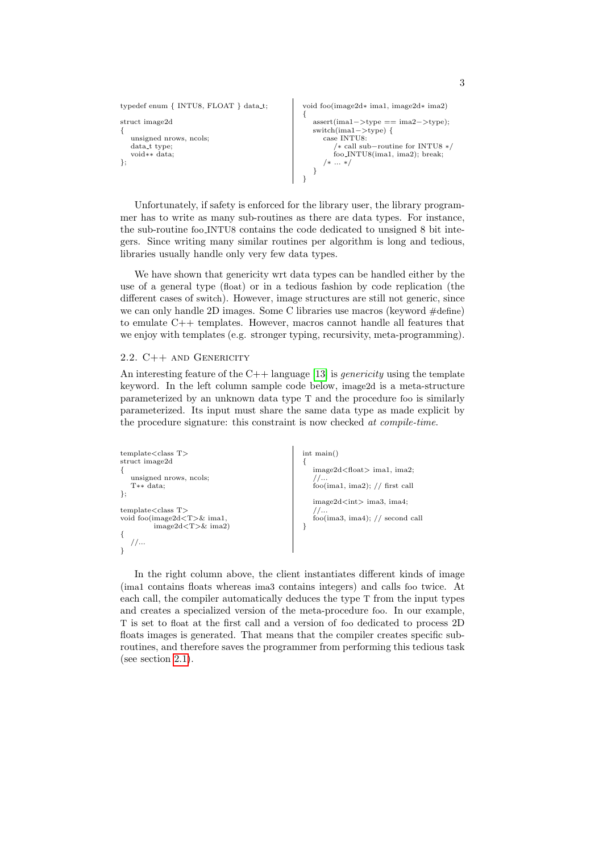```
typedef enum { INTU8, FLOAT } data t;
struct image2d
{
    unsigned nrows, ncols;
   data_t type;
    void∗∗ data;
};
                                                                     void foo(image2d∗ ima1, image2d∗ ima2)
                                                                      {
                                                                         assert(ima1−>type == ima2−>type);
                                                                         switch(ima1−>type) {
                                                                             case INTU8:
                                                                                  /∗ call sub−routine for INTU8 ∗/
                                                                                 \frac{1}{100} \frac{1}{100} \frac{1}{100}\frac{1}{100}\frac{1}{100}\frac{1}{100}\frac{1}{100}\frac{1}{100}\frac{1}{100}\frac{1}{100}\frac{1}{100}/∗ ... ∗/
                                                                         }
                                                                      }
```
Unfortunately, if safety is enforced for the library user, the library programmer has to write as many sub-routines as there are data types. For instance, the sub-routine foo INTU8 contains the code dedicated to unsigned 8 bit integers. Since writing many similar routines per algorithm is long and tedious, libraries usually handle only very few data types.

We have shown that genericity wrt data types can be handled either by the use of a general type (float) or in a tedious fashion by code replication (the different cases of switch). However, image structures are still not generic, since we can only handle 2D images. Some C libraries use macros (keyword #define) to emulate  $C_{++}$  templates. However, macros cannot handle all features that we enjoy with templates (e.g. stronger typing, recursivity, meta-programming).

### 2.2. C++ and Genericity

An interesting feature of the  $C++$  language [\[13\]](#page-9-2) is *genericity* using the template keyword. In the left column sample code below, image2d is a meta-structure parameterized by an unknown data type T and the procedure foo is similarly parameterized. Its input must share the same data type as made explicit by the procedure signature: this constraint is now checked at compile-time.

```
template <class T>
struct image2d
{
   unsigned nrows, ncols;
   T∗∗ data;
};
template<class T>
void foo(image2d<T>& ima1,
         image2d < T>& ima2)
{
  //...}
                                                     int main()
                                                     {
                                                       image2d<float> ima1, ima2;
                                                        //...
foo(ima1, ima2); // first call
                                                        image2d<int> ima3, ima4;
                                                        //...
foo(ima3, ima4); // second call
                                                     }
```
In the right column above, the client instantiates different kinds of image (ima1 contains floats whereas ima3 contains integers) and calls foo twice. At each call, the compiler automatically deduces the type T from the input types and creates a specialized version of the meta-procedure foo. In our example, T is set to float at the first call and a version of foo dedicated to process 2D floats images is generated. That means that the compiler creates specific subroutines, and therefore saves the programmer from performing this tedious task (see section [2.1\)](#page-1-2).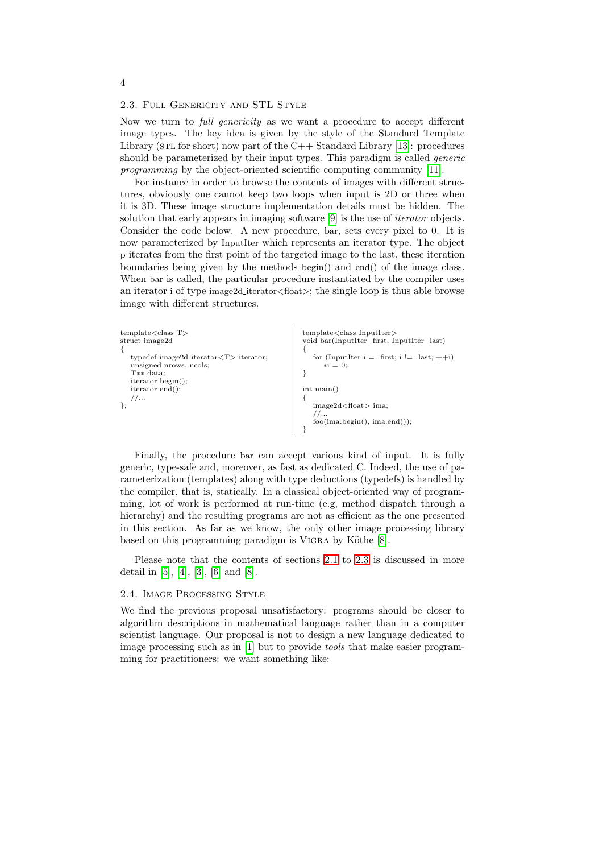# <span id="page-3-0"></span>2.3. Full Genericity and STL Style

Now we turn to full genericity as we want a procedure to accept different image types. The key idea is given by the style of the Standard Template Library (STL for short) now part of the  $C++$  Standard Library [\[13\]](#page-9-2): procedures should be parameterized by their input types. This paradigm is called *generic* programming by the object-oriented scientific computing community [\[11\]](#page-9-3).

For instance in order to browse the contents of images with different structures, obviously one cannot keep two loops when input is 2D or three when it is 3D. These image structure implementation details must be hidden. The solution that early appears in imaging software [\[9\]](#page-9-4) is the use of iterator objects. Consider the code below. A new procedure, bar, sets every pixel to 0. It is now parameterized by InputIter which represents an iterator type. The object p iterates from the first point of the targeted image to the last, these iteration boundaries being given by the methods begin() and end() of the image class. When bar is called, the particular procedure instantiated by the compiler uses an iterator i of type image2d iterator<float>; the single loop is thus able browse image with different structures.

```
template\ltclass T>struct image2d
{
  typedef image2d iterator<T> iterator;
   unsigned nrows, ncols;
   T∗∗ data;
   iterator begin();
   iterator end();
   1/...
};
                                                       template<class InputIter>
                                                        void bar(InputIter first, InputIter last)
                                                        {
                                                          for (InputIter i = \text{first}; i := \text{last}; ++i)
                                                             *i = 0;
                                                        }
                                                       int main()
                                                        {
                                                          image2d<float> ima;
                                                           //...
foo(ima.begin(), ima.end());
                                                        }
```
Finally, the procedure bar can accept various kind of input. It is fully generic, type-safe and, moreover, as fast as dedicated C. Indeed, the use of parameterization (templates) along with type deductions (typedefs) is handled by the compiler, that is, statically. In a classical object-oriented way of programming, lot of work is performed at run-time (e.g, method dispatch through a hierarchy) and the resulting programs are not as efficient as the one presented in this section. As far as we know, the only other image processing library based on this programming paradigm is VIGRA by Köthe [\[8\]](#page-9-5).

Please note that the contents of sections [2.1](#page-1-2) to [2.3](#page-3-0) is discussed in more detail in [\[5\]](#page-8-4), [\[4\]](#page-8-1), [\[3\]](#page-8-2), [\[6\]](#page-8-5) and [\[8\]](#page-9-5).

#### 2.4. Image Processing Style

We find the previous proposal unsatisfactory: programs should be closer to algorithm descriptions in mathematical language rather than in a computer scientist language. Our proposal is not to design a new language dedicated to image processing such as in [\[1\]](#page-8-6) but to provide tools that make easier programming for practitioners: we want something like:

4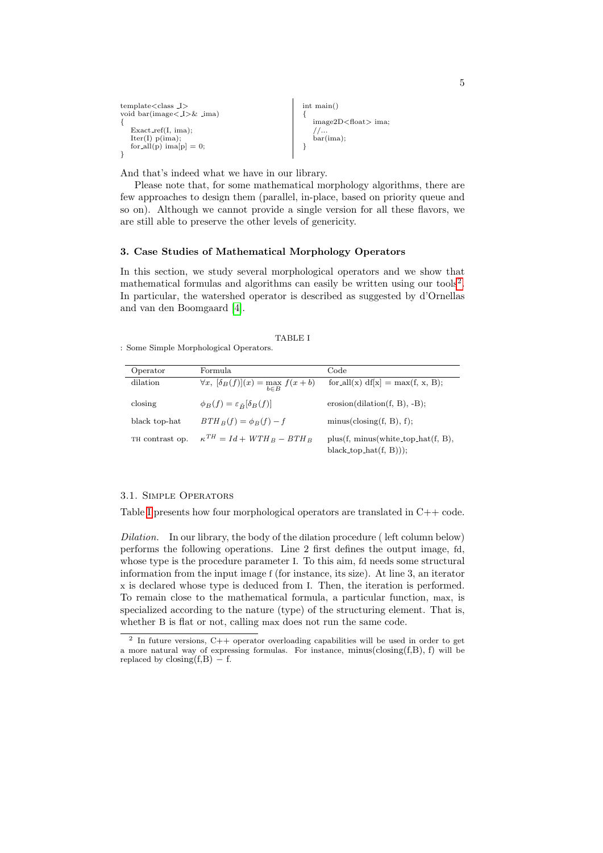```
template<class I>
void bar(image< I>& ima)
{
   Exact\_ref(I, ima);Iter(I) p(ima);for \text{all}(p) ima[p] = 0;\mathfrak{g}int main()
                                                           {
                                                              image2D<float> ima;
                                                              //...
bar(ima);
                                                           }
```
And that's indeed what we have in our library.

Please note that, for some mathematical morphology algorithms, there are few approaches to design them (parallel, in-place, based on priority queue and so on). Although we cannot provide a single version for all these flavors, we are still able to preserve the other levels of genericity.

# <span id="page-4-0"></span>3. Case Studies of Mathematical Morphology Operators

In this section, we study several morphological operators and we show that mathematical formulas and algorithms can easily be written using our tools<sup>[2](#page-4-1)</sup>. In particular, the watershed operator is described as suggested by d'Ornellas and van den Boomgaard [\[4\]](#page-8-1).

TABLE I

<span id="page-4-2"></span>: Some Simple Morphological Operators.

| Operator        | Formula                                                 | Code                                                               |
|-----------------|---------------------------------------------------------|--------------------------------------------------------------------|
| dilation        | $\forall x, \ [\delta_B(f)](x) = \max_{b \in B} f(x+b)$ | for $\text{all}(x) \text{ df}[x] = \max(f, x, B);$                 |
| closing         | $\phi_B(f) = \varepsilon_{\check{B}}[\delta_B(f)]$      | $erosion(dilation(f, B), -B);$                                     |
| black top-hat   | $BTH_B(f) = \phi_B(f) - f$                              | minus(closure(f, B), f);                                           |
| TH contrast op. | $\kappa^{TH} = Id + WTH_B - BTH_B$                      | $plus(f, minus(white-top_hat(f, B),$<br>$black\_top\_hat(f, B))$ ; |

# 3.1. Simple Operators

Table [I](#page-4-2) presents how four morphological operators are translated in C++ code.

Dilation. In our library, the body of the dilation procedure ( left column below) performs the following operations. Line 2 first defines the output image, fd, whose type is the procedure parameter I. To this aim, fd needs some structural information from the input image f (for instance, its size). At line 3, an iterator x is declared whose type is deduced from I. Then, the iteration is performed. To remain close to the mathematical formula, a particular function, max, is specialized according to the nature (type) of the structuring element. That is, whether B is flat or not, calling max does not run the same code.

<span id="page-4-1"></span><sup>&</sup>lt;sup>2</sup> In future versions, C++ operator overloading capabilities will be used in order to get a more natural way of expressing formulas. For instance, minus( $\text{closing}(f, B)$ , f) will be replaced by  $\text{closing}(f,B) - f$ .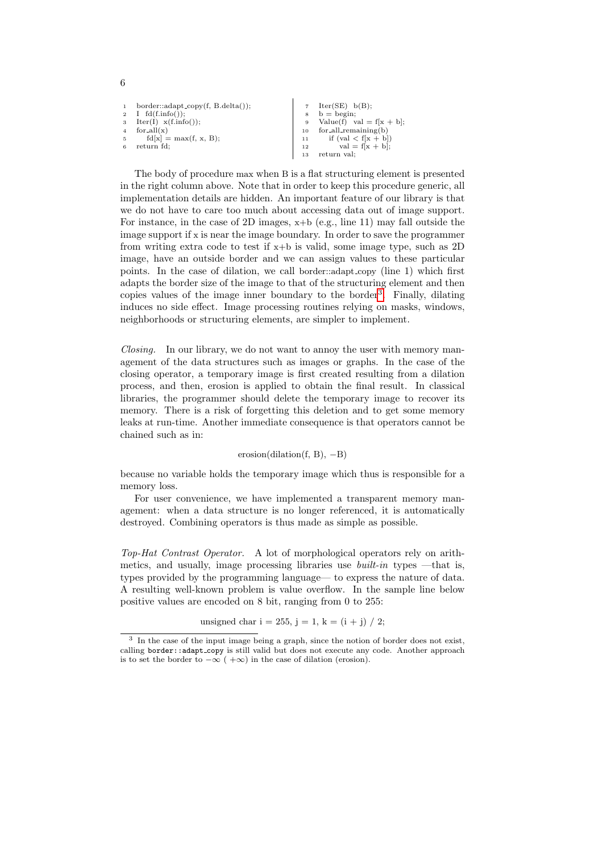| $\mathbf{1}$ | $border::adapt\_copy(f, B.delta());$<br>2 I $fd(f.info())$ ; | 8  | 7 $Iter(SE) b(B);$<br>$b =$ begin; |
|--------------|--------------------------------------------------------------|----|------------------------------------|
|              | $3 \text{Iter}(I) \text{ x(f.info)}$                         |    | 9 Value(f) val = $f[x + b]$ ;      |
|              | 4 for $all(x)$                                               |    | $10$ for all remaining(b)          |
|              | $f d[x] = max(f, x, B);$                                     |    | 11 if $\text{(val} < f[x + b])$    |
| 6            | return fd:                                                   | 12 | $val = f[x + b];$                  |
|              |                                                              |    | return val:                        |

6

The body of procedure max when B is a flat structuring element is presented in the right column above. Note that in order to keep this procedure generic, all implementation details are hidden. An important feature of our library is that we do not have to care too much about accessing data out of image support. For instance, in the case of 2D images,  $x+b$  (e.g., line 11) may fall outside the image support if x is near the image boundary. In order to save the programmer from writing extra code to test if x+b is valid, some image type, such as 2D image, have an outside border and we can assign values to these particular points. In the case of dilation, we call border::adapt copy (line 1) which first adapts the border size of the image to that of the structuring element and then copies values of the image inner boundary to the border<sup>[3](#page-5-0)</sup>. Finally, dilating induces no side effect. Image processing routines relying on masks, windows, neighborhoods or structuring elements, are simpler to implement.

Closing. In our library, we do not want to annoy the user with memory management of the data structures such as images or graphs. In the case of the closing operator, a temporary image is first created resulting from a dilation process, and then, erosion is applied to obtain the final result. In classical libraries, the programmer should delete the temporary image to recover its memory. There is a risk of forgetting this deletion and to get some memory leaks at run-time. Another immediate consequence is that operators cannot be chained such as in:

 $erosion(dilation(f, B), -B)$ 

because no variable holds the temporary image which thus is responsible for a memory loss.

For user convenience, we have implemented a transparent memory management: when a data structure is no longer referenced, it is automatically destroyed. Combining operators is thus made as simple as possible.

Top-Hat Contrast Operator. A lot of morphological operators rely on arithmetics, and usually, image processing libraries use *built-in* types —that is, types provided by the programming language— to express the nature of data. A resulting well-known problem is value overflow. In the sample line below positive values are encoded on 8 bit, ranging from 0 to 255:

unsigned char  $i = 255$ ,  $j = 1$ ,  $k = (i + j) / 2$ ;

<span id="page-5-0"></span><sup>&</sup>lt;sup>3</sup> In the case of the input image being a graph, since the notion of border does not exist, calling border::adapt copy is still valid but does not execute any code. Another approach is to set the border to  $-\infty$  (  $+\infty$ ) in the case of dilation (erosion).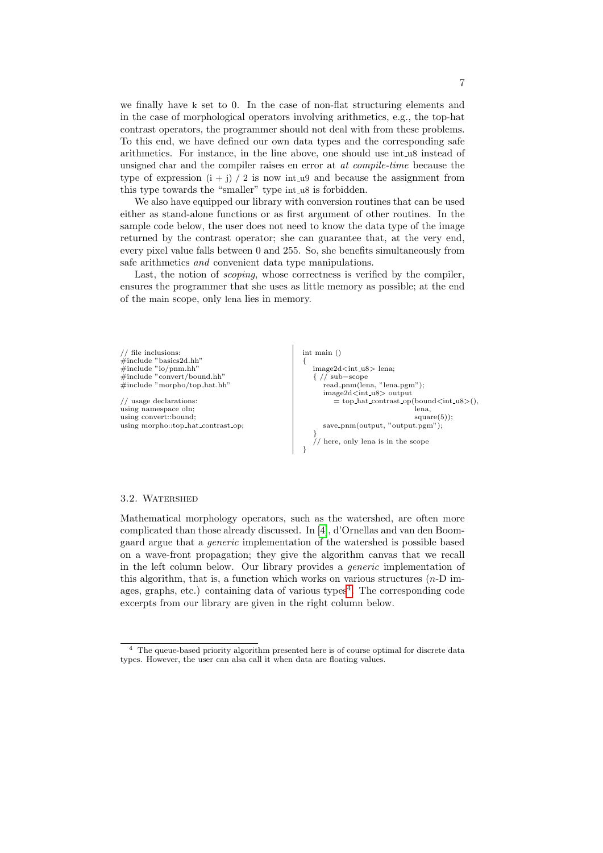we finally have k set to 0. In the case of non-flat structuring elements and in the case of morphological operators involving arithmetics, e.g., the top-hat contrast operators, the programmer should not deal with from these problems. To this end, we have defined our own data types and the corresponding safe arithmetics. For instance, in the line above, one should use int u8 instead of unsigned char and the compiler raises en error at at compile-time because the type of expression  $(i + j) / 2$  is now int u9 and because the assignment from this type towards the "smaller" type int u8 is forbidden.

We also have equipped our library with conversion routines that can be used either as stand-alone functions or as first argument of other routines. In the sample code below, the user does not need to know the data type of the image returned by the contrast operator; she can guarantee that, at the very end, every pixel value falls between 0 and 255. So, she benefits simultaneously from safe arithmetics and convenient data type manipulations.

Last, the notion of scoping, whose correctness is verified by the compiler, ensures the programmer that she uses as little memory as possible; at the end of the main scope, only lena lies in memory.



#### 3.2. Watershed

Mathematical morphology operators, such as the watershed, are often more complicated than those already discussed. In [\[4\]](#page-8-1), d'Ornellas and van den Boomgaard argue that a generic implementation of the watershed is possible based on a wave-front propagation; they give the algorithm canvas that we recall in the left column below. Our library provides a generic implementation of this algorithm, that is, a function which works on various structures  $(n-D)$  im-ages, graphs, etc.) containing data of various types<sup>[4](#page-6-0)</sup>. The corresponding code excerpts from our library are given in the right column below.

<span id="page-6-0"></span> $^4\,$  The queue-based priority algorithm presented here is of course optimal for discrete data types. However, the user can alsa call it when data are floating values.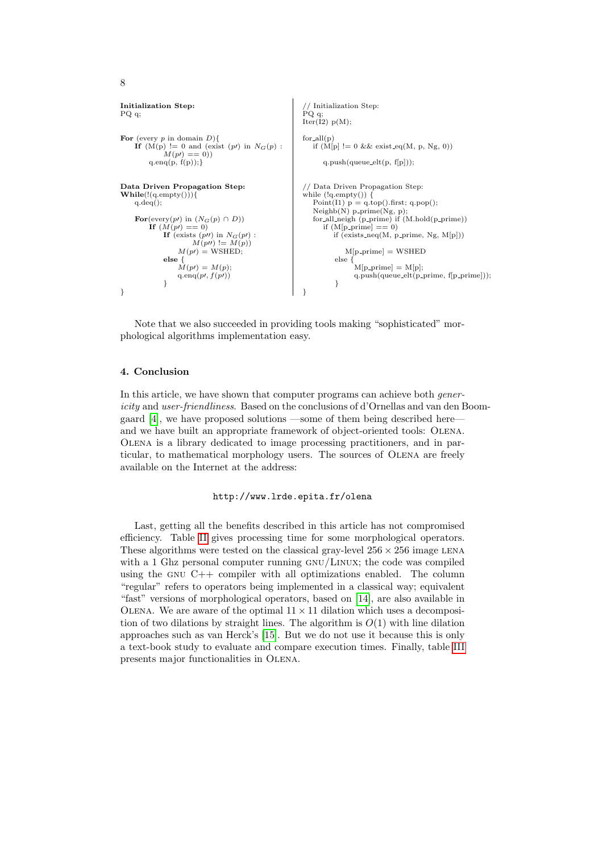```
Initialization Step:
PQ q;
For (every p in domain D){
     If (M(p) := 0 and (exist (p)) in N_G(p):<br>M(p) = 0))
          q.\text{enq}(p, f(p));Data Driven Propagation Step:
\textbf{While}(\text{!(q.empty)})){
    q.deq();
     For(every(pt) in (N_G(p) \cap D))
          If (M(p)) == 0)If (exists (p\prime\prime) in N_G(p\prime) :<br>
M(p\prime\prime) := M(p))
                    M(p) = \text{WSHED};else {
                    M(p) = M(p);q.enq(p, f(p))}
}
                                                                  // Initialization Step:
                                                                \overleftrightarrow{P}Q q;\text{Iter}(\hat{I2}) \text{ p(M)}for<sub>-all</sub>(p)if (M[p] := 0 \&& \text{ exist\_eq}(M, p, Ng, 0))q.push(queue_elt(p, f[p]);
                                                                // Data Driven Propagation Step:
                                                                while (lq.empty()}
                                                                    Point(I1) p = q \text{top}().first; q.pop();
                                                                    Neighb(N) p prime(Ng, p);
for all neigh (p prime) if (M.hold(p prime))
                                                                       if (M[p-prime] == 0)if (exists neq(M, p prime, Ng, M[p]))
                                                                               M[p\text{-prime}] = \text{WSHED}else {
                                                                                  M[p\_prime] = M[p];q.push(queue-elt(p-prime, f[p-prime]));
                                                                            }
                                                                }
```
Note that we also succeeded in providing tools making "sophisticated" morphological algorithms implementation easy.

# <span id="page-7-0"></span>4. Conclusion

8

In this article, we have shown that computer programs can achieve both *gener*icity and user-friendliness. Based on the conclusions of d'Ornellas and van den Boomgaard [\[4\]](#page-8-1), we have proposed solutions —some of them being described here and we have built an appropriate framework of object-oriented tools: Olena. Olena is a library dedicated to image processing practitioners, and in particular, to mathematical morphology users. The sources of Olena are freely available on the Internet at the address:

# http://www.lrde.epita.fr/olena

Last, getting all the benefits described in this article has not compromised efficiency. Table [II](#page-8-7) gives processing time for some morphological operators. These algorithms were tested on the classical gray-level  $256 \times 256$  image LENA with a 1 Ghz personal computer running GNU/LINUX; the code was compiled using the GNU  $C++$  compiler with all optimizations enabled. The column "regular" refers to operators being implemented in a classical way; equivalent "fast" versions of morphological operators, based on [\[14\]](#page-9-6), are also available in OLENA. We are aware of the optimal  $11 \times 11$  dilation which uses a decomposition of two dilations by straight lines. The algorithm is  $O(1)$  with line dilation approaches such as van Herck's [\[15\]](#page-9-7). But we do not use it because this is only a text-book study to evaluate and compare execution times. Finally, table [III](#page-8-8) presents major functionalities in Olena.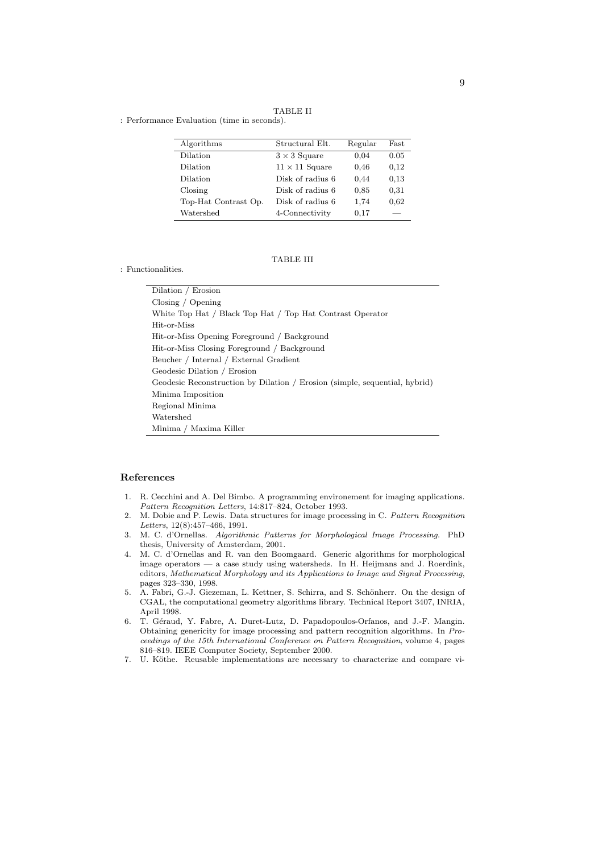TABLE II

<span id="page-8-7"></span>: Performance Evaluation (time in seconds).

| Algorithms           | Structural Elt.       | Regular | Fast |
|----------------------|-----------------------|---------|------|
| Dilation             | $3 \times 3$ Square   | 0.04    | 0.05 |
| Dilation             | $11 \times 11$ Square | 0.46    | 0.12 |
| Dilation             | Disk of radius 6      | 0.44    | 0.13 |
| $\frac{1}{2}$        | Disk of radius 6      | 0.85    | 0.31 |
| Top-Hat Contrast Op. | Disk of radius 6      | 1,74    | 0.62 |
| Watershed            | 4-Connectivity        | 0.17    |      |

# TABLE III

Dilation / Erosion Closing / Opening White Top Hat / Black Top Hat / Top Hat Contrast Operator Hit-or-Miss Hit-or-Miss Opening Foreground / Background Hit-or-Miss Closing Foreground / Background Beucher / Internal / External Gradient Geodesic Dilation / Erosion Geodesic Reconstruction by Dilation / Erosion (simple, sequential, hybrid) Minima Imposition Regional Minima Watershed Minima / Maxima Killer

#### References

<span id="page-8-8"></span>: Functionalities.

- <span id="page-8-6"></span>1. R. Cecchini and A. Del Bimbo. A programming environement for imaging applications. Pattern Recognition Letters, 14:817–824, October 1993.
- <span id="page-8-3"></span>2. M. Dobie and P. Lewis. Data structures for image processing in C. Pattern Recognition Letters, 12(8):457–466, 1991.
- <span id="page-8-2"></span>3. M. C. d'Ornellas. Algorithmic Patterns for Morphological Image Processing. PhD thesis, University of Amsterdam, 2001.
- <span id="page-8-1"></span>4. M. C. d'Ornellas and R. van den Boomgaard. Generic algorithms for morphological image operators — a case study using watersheds. In H. Heijmans and J. Roerdink, editors, Mathematical Morphology and its Applications to Image and Signal Processing, pages 323–330, 1998.
- <span id="page-8-4"></span>5. A. Fabri, G.-J. Giezeman, L. Kettner, S. Schirra, and S. Schönherr. On the design of CGAL, the computational geometry algorithms library. Technical Report 3407, INRIA, April 1998.
- <span id="page-8-5"></span>6. T. Géraud, Y. Fabre, A. Duret-Lutz, D. Papadopoulos-Orfanos, and J.-F. Mangin. Obtaining genericity for image processing and pattern recognition algorithms. In Proceedings of the 15th International Conference on Pattern Recognition, volume 4, pages 816–819. IEEE Computer Society, September 2000.
- <span id="page-8-0"></span>7. U. Köthe. Reusable implementations are necessary to characterize and compare vi-